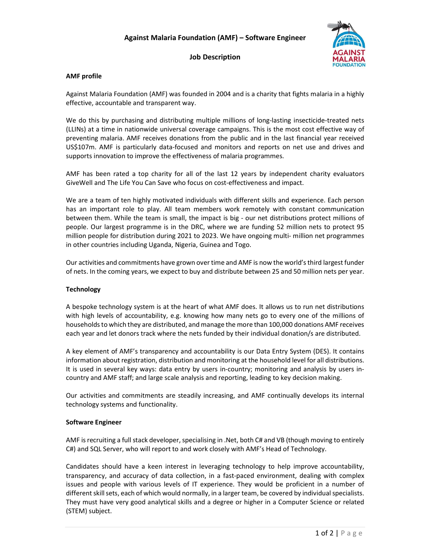

# Job Description

## AMF profile

Against Malaria Foundation (AMF) was founded in 2004 and is a charity that fights malaria in a highly effective, accountable and transparent way.

We do this by purchasing and distributing multiple millions of long-lasting insecticide-treated nets (LLINs) at a time in nationwide universal coverage campaigns. This is the most cost effective way of preventing malaria. AMF receives donations from the public and in the last financial year received US\$107m. AMF is particularly data-focused and monitors and reports on net use and drives and supports innovation to improve the effectiveness of malaria programmes.

AMF has been rated a top charity for all of the last 12 years by independent charity evaluators GiveWell and The Life You Can Save who focus on cost-effectiveness and impact.

We are a team of ten highly motivated individuals with different skills and experience. Each person has an important role to play. All team members work remotely with constant communication between them. While the team is small, the impact is big - our net distributions protect millions of people. Our largest programme is in the DRC, where we are funding 52 million nets to protect 95 million people for distribution during 2021 to 2023. We have ongoing multi- million net programmes in other countries including Uganda, Nigeria, Guinea and Togo.

Our activities and commitments have grown over time and AMF is now the world's third largest funder of nets. In the coming years, we expect to buy and distribute between 25 and 50 million nets per year.

## Technology

A bespoke technology system is at the heart of what AMF does. It allows us to run net distributions with high levels of accountability, e.g. knowing how many nets go to every one of the millions of households to which they are distributed, and manage the more than 100,000 donations AMF receives each year and let donors track where the nets funded by their individual donation/s are distributed.

A key element of AMF's transparency and accountability is our Data Entry System (DES). It contains information about registration, distribution and monitoring at the household level for all distributions. It is used in several key ways: data entry by users in-country; monitoring and analysis by users incountry and AMF staff; and large scale analysis and reporting, leading to key decision making.

Our activities and commitments are steadily increasing, and AMF continually develops its internal technology systems and functionality.

## Software Engineer

AMF is recruiting a full stack developer, specialising in .Net, both C# and VB (though moving to entirely C#) and SQL Server, who will report to and work closely with AMF's Head of Technology.

Candidates should have a keen interest in leveraging technology to help improve accountability, transparency, and accuracy of data collection, in a fast-paced environment, dealing with complex issues and people with various levels of IT experience. They would be proficient in a number of different skill sets, each of which would normally, in a larger team, be covered by individual specialists. They must have very good analytical skills and a degree or higher in a Computer Science or related (STEM) subject.